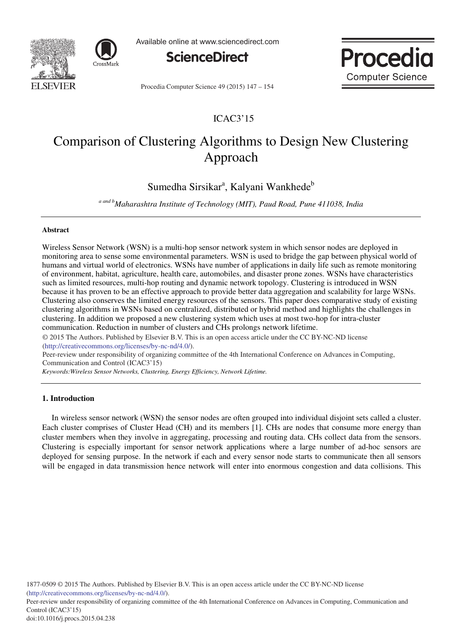



Available online at www.sciencedirect.com



Procedia Computer Science 49 (2015) 147 - 154

Proce **Computer Science** 

# ICAC3'15

# Comparison of Clustering Algorithms to Design New Clustering Approach

Sumedha Sirsikar<sup>a</sup>, Kalyani Wankhede<sup>b</sup>

*a and bMaharashtra Institute of Technology (MIT), Paud Road, Pune 411038, India* 

# **Abstract**

Wireless Sensor Network (WSN) is a multi-hop sensor network system in which sensor nodes are deployed in monitoring area to sense some environmental parameters. WSN is used to bridge the gap between physical world of humans and virtual world of electronics. WSNs have number of applications in daily life such as remote monitoring of environment, habitat, agriculture, health care, automobiles, and disaster prone zones. WSNs have characteristics such as limited resources, multi-hop routing and dynamic network topology. Clustering is introduced in WSN because it has proven to be an effective approach to provide better data aggregation and scalability for large WSNs. Clustering also conserves the limited energy resources of the sensors. This paper does comparative study of existing clustering algorithms in WSNs based on centralized, distributed or hybrid method and highlights the challenges in clustering. In addition we proposed a new clustering system which uses at most two-hop for intra-cluster communication. Reduction in number of clusters and CHs prolongs network lifetime.

© 2015 The Authors. Published by Elsevier B.V. © 2015 The Authors. Published by Elsevier B.V. This is an open access article under the CC BY-NC-ND license (http://creativecommons.org/licenses/by-nc-nd/4.0/).

Peer-review under responsibility of organizing committee of the 4th International Conference on Advances in Computing, Communication and Control (ICAC3'15)

*Keywords:Wireless Sensor Networks, Clustering, Energy Efficiency, Network Lifetime.*

## **1. Introduction**

In wireless sensor network (WSN) the sensor nodes are often grouped into individual disjoint sets called a cluster. Each cluster comprises of Cluster Head (CH) and its members [1]. CHs are nodes that consume more energy than cluster members when they involve in aggregating, processing and routing data. CHs collect data from the sensors. Clustering is especially important for sensor network applications where a large number of ad-hoc sensors are deployed for sensing purpose. In the network if each and every sensor node starts to communicate then all sensors will be engaged in data transmission hence network will enter into enormous congestion and data collisions. This

Peer-review under responsibility of organizing committee of the 4th International Conference on Advances in Computing, Communication and Control (ICAC3'15)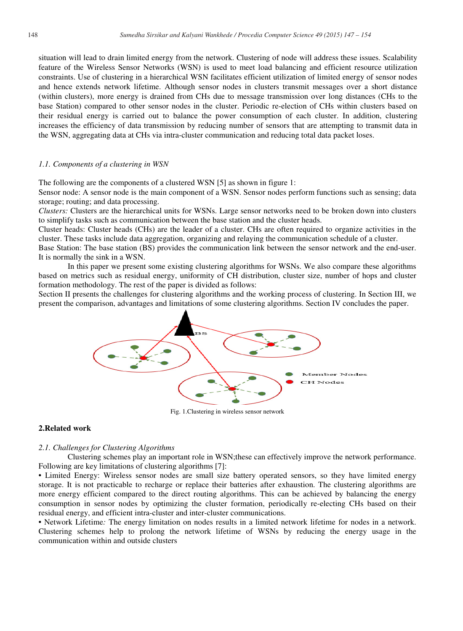situation will lead to drain limited energy from the network. Clustering of node will address these issues. Scalability feature of the Wireless Sensor Networks (WSN) is used to meet load balancing and efficient resource utilization constraints. Use of clustering in a hierarchical WSN facilitates efficient utilization of limited energy of sensor nodes and hence extends network lifetime. Although sensor nodes in clusters transmit messages over a short distance (within clusters), more energy is drained from CHs due to message transmission over long distances (CHs to the base Station) compared to other sensor nodes in the cluster. Periodic re-election of CHs within clusters based on their residual energy is carried out to balance the power consumption of each cluster. In addition, clustering increases the efficiency of data transmission by reducing number of sensors that are attempting to transmit data in the WSN, aggregating data at CHs via intra-cluster communication and reducing total data packet loses.

## *1.1. Components of a clustering in WSN*

The following are the components of a clustered d WSN [5] as shown in figure 1:

Sensor node: A sensor node is the main component of a WSN. Sensor nodes perform functions such as sensing; data storage; routing; and data processing.

Clusters: Clusters are the hierarchical units for WSNs. Large sensor networks need to be broken down into clusters to simplify tasks such as communication betwe en the base station and the cluster heads.

Cluster heads: Cluster heads (CHs) are the leader of a cluster. CHs are often required to organize activities in the cluster. These tasks include data aggregation, organizing and relaying the communication schedule of a cluster.

Base Station: The base station (BS) provides the communication link between the sensor network and the end-user. It is normally the sink in a WSN.

In this paper we present some existing clustering algorithms for WSNs. We also compare these algorithms based on metrics such as residual energy, unif formity of CH distribution, cluster size, number of hops s and cluster formation methodology. The rest of the paper is divided as follows:

Section II presents the challenges for clustering algorithms and the working process of clustering. In Section III, we present the comparison, advantages and limitations of some clustering algorithms. Section IV concludes the paper.



Fig. 1.C Clustering in wireless sensor network

# **2.Related work**

## *2.1. Challenges for Clustering Algorithms*

Clustering schemes play an important role in WSN; these can effectively improve the network performance. Following are key limitations of clustering algorithms [7]:

• Limited Energy: Wireless sensor nodes are small size battery operated sensors, so they have limited energy storage. It is not practicable to recharge or replace their batteries after exhaustion. The clustering algorithms are more energy efficient compared to the direct routing algorithms. This can be achieved by balancing the energy consumption in sensor nodes by optimizing the cluster formation, periodically re-electing CHs based on their residual energy, and efficient intra-cluster and inter-cluster communications.

• Network Lifetime: The energy limitation on nodes results in a limited network lifetime for nodes in a network. Clustering schemes help to prolong the network lifetime of WSNs by reducing the energy usage in the communication within and outside clusters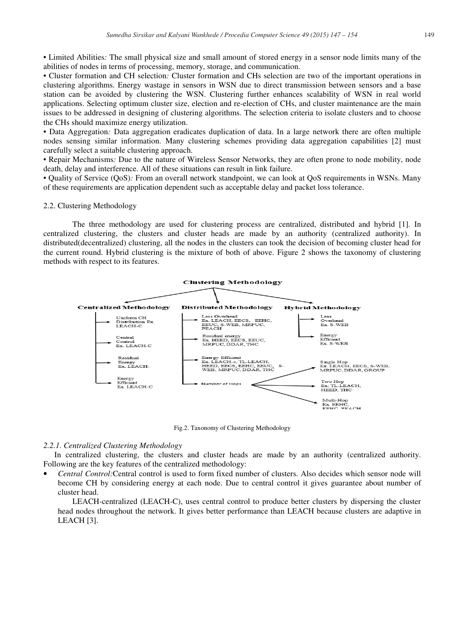• Limited Abilities: The small physical size and small amount of stored energy in a sensor node limits many of the abilities of nodes in terms of processing, memory, storage, and communication.

• Cluster formation and CH selection: Cluster formation and CHs selection are two of the important operations in clustering algorithms. Energy wastage in sensors in WSN due to direct transmission between sensors and a base station can be avoided by clustering the WSN. Clustering further enhances scalability of WSN in real world applications. Selecting optimum cluster size, election and re-election of CHs, and cluster maintenance are the main issues to be addressed in designing of clustering algorithms. The selection criteria to isolate clusters and to choose the CHs should maximize energy utilization.

• Data Aggregation: Data aggregation eradicates duplication of data. In a large network there are often multiple nodes sensing similar information. Many clustering schemes providing data aggregation capabilities [2] must carefully select a suitable clustering approach.

• Repair Mechanisms: Due to the nature of Wireless Sensor Networks, they are often prone to node mobility, node death, delay and interference. All of these situations can result in link failure.

• Quality of Service (QoS): From an overall network standpoint, we can look at QoS requirements in WSNs. Many of these requirements are application dependent such as acceptable delay and packet loss tolerance.

## 2.2. Clustering Methodology

The three methodology are used for clustering process are centralized, distributed and hybrid [1]. In centralized clustering, the clusters and cluster heads are made by an authority (centralized authority). In distributed(decentralized) clustering, all the nodes in the clusters can took the decision of becoming cluster head for the current round. Hybrid clustering is the mixture of both of above. Figure 2 shows the taxonomy of clustering methods with respect to its features.



Fig.2. Tax xonomy of Clustering Methodology

#### *2.2.1. Centralized Clustering Methodology*

In centralized clustering, the clusters and cluster heads are made by an authority (centralized authority. Following are the key features of the centralized methodology:

• *Central Control:*Central control is used to form fixed number of clusters. Also decides which sensor node will become CH by considering energy at each node. Due to central control it gives guarantee about number of cluster head.

LEACH-centralized (LEACH-C), uses central control to produce better clusters by dispersing the cluster head nodes throughout the network. It gives better performance than LEACH because clusters are adaptive in LEACH [3].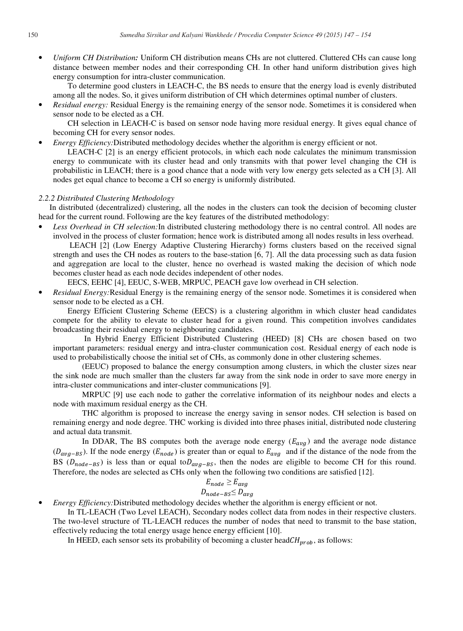• *Uniform CH Distribution:* Uniform CH distribution means CHs are not cluttered. Cluttered CHs can cause long distance between member nodes and their corresponding CH. In other hand uniform distribution gives high energy consumption for intra-cluster communication.

To determine good clusters in LEACH-C, the BS needs to ensure that the energy load is evenly distributed among all the nodes. So, it gives uniform distribution of CH which determines optimal number of clusters.

• *Residual energy:* Residual Energy is the remaining energy of the sensor node. Sometimes it is considered when sensor node to be elected as a CH.

CH selection in LEACH-C is based on sensor node having more residual energy. It gives equal chance of becoming CH for every sensor nodes.

• *Energy Efficiency:*Distributed methodology decides whether the algorithm is energy efficient or not.

LEACH-C [2] is an energy efficient protocols, in which each node calculates the minimum transmission energy to communicate with its cluster head and only transmits with that power level changing the CH is probabilistic in LEACH; there is a good chance that a node with very low energy gets selected as a CH [3]. All nodes get equal chance to become a CH so energy is uniformly distributed.

#### *2.2.2 Distributed Clustering Methodology*

In distributed (decentralized) clustering, all the nodes in the clusters can took the decision of becoming cluster head for the current round. Following are the key features of the distributed methodology:

• *Less Overhead in CH selection:*In distributed clustering methodology there is no central control. All nodes are involved in the process of cluster formation; hence work is distributed among all nodes results in less overhead.

 LEACH [2] (Low Energy Adaptive Clustering Hierarchy) forms clusters based on the received signal strength and uses the CH nodes as routers to the base-station [6, 7]. All the data processing such as data fusion and aggregation are local to the cluster, hence no overhead is wasted making the decision of which node becomes cluster head as each node decides independent of other nodes.

EECS, EEHC [4], EEUC, S-WEB, MRPUC, PEACH gave low overhead in CH selection.

• *Residual Energy:*Residual Energy is the remaining energy of the sensor node. Sometimes it is considered when sensor node to be elected as a CH.

Energy Efficient Clustering Scheme (EECS) is a clustering algorithm in which cluster head candidates compete for the ability to elevate to cluster head for a given round. This competition involves candidates broadcasting their residual energy to neighbouring candidates.

 In Hybrid Energy Efficient Distributed Clustering (HEED) [8] CHs are chosen based on two important parameters: residual energy and intra-cluster communication cost. Residual energy of each node is used to probabilistically choose the initial set of CHs, as commonly done in other clustering schemes.

(EEUC) proposed to balance the energy consumption among clusters, in which the cluster sizes near the sink node are much smaller than the clusters far away from the sink node in order to save more energy in intra-cluster communications and inter-cluster communications [9].

MRPUC [9] use each node to gather the correlative information of its neighbour nodes and elects a node with maximum residual energy as the CH.

THC algorithm is proposed to increase the energy saving in sensor nodes. CH selection is based on remaining energy and node degree. THC working is divided into three phases initial, distributed node clustering and actual data transmit.

In DDAR, The BS computes both the average node energy  $(E_{avg})$  and the average node distance  $(D_{\text{avg-BS}})$ . If the node energy  $(E_{\text{node}})$  is greater than or equal to  $E_{\text{avg}}$  and if the distance of the node from the BS ( $D_{node-BS}$ ) is less than or equal to $D_{avg-BS}$ , then the nodes are eligible to become CH for this round. Therefore, the nodes are selected as CHs only when the following two conditions are satisfied [12].

$$
E_{node} \ge E_{avg}
$$

$$
D_{node\text{-}BS} \leq D_{avg}
$$

• *Energy Efficiency:*Distributed methodology decides whether the algorithm is energy efficient or not.

In TL-LEACH (Two Level LEACH), Secondary nodes collect data from nodes in their respective clusters. The two-level structure of TL-LEACH reduces the number of nodes that need to transmit to the base station, effectively reducing the total energy usage hence energy efficient [10].

In HEED, each sensor sets its probability of becoming a cluster head $CH_{prob}$ , as follows: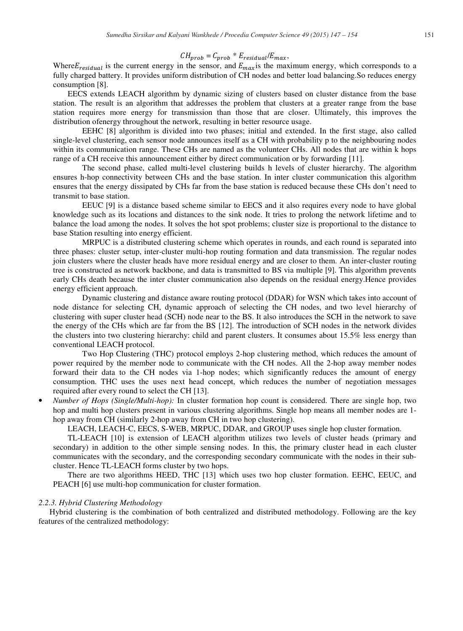# $CH_{prob} = C_{prob} * E_{residual}/E_{max}$

Where  $E_{residual}$  is the current energy in the sensor, and  $E_{max}$  is the maximum energy, which corresponds to a fully charged battery. It provides uniform distribution of CH nodes and better load balancing.So reduces energy consumption [8].

EECS extends LEACH algorithm by dynamic sizing of clusters based on cluster distance from the base station. The result is an algorithm that addresses the problem that clusters at a greater range from the base station requires more energy for transmission than those that are closer. Ultimately, this improves the distribution ofenergy throughout the network, resulting in better resource usage.

EEHC [8] algorithm is divided into two phases; initial and extended. In the first stage, also called single-level clustering, each sensor node announces itself as a CH with probability p to the neighbouring nodes within its communication range. These CHs are named as the volunteer CHs. All nodes that are within k hops range of a CH receive this announcement either by direct communication or by forwarding [11].

The second phase, called multi-level clustering builds h levels of cluster hierarchy. The algorithm ensures h-hop connectivity between CHs and the base station. In inter cluster communication this algorithm ensures that the energy dissipated by CHs far from the base station is reduced because these CHs don't need to transmit to base station.

EEUC [9] is a distance based scheme similar to EECS and it also requires every node to have global knowledge such as its locations and distances to the sink node. It tries to prolong the network lifetime and to balance the load among the nodes. It solves the hot spot problems; cluster size is proportional to the distance to base Station resulting into energy efficient.

MRPUC is a distributed clustering scheme which operates in rounds, and each round is separated into three phases: cluster setup, inter-cluster multi-hop routing formation and data transmission. The regular nodes join clusters where the cluster heads have more residual energy and are closer to them. An inter-cluster routing tree is constructed as network backbone, and data is transmitted to BS via multiple [9]. This algorithm prevents early CHs death because the inter cluster communication also depends on the residual energy.Hence provides energy efficient approach.

Dynamic clustering and distance aware routing protocol (DDAR) for WSN which takes into account of node distance for selecting CH, dynamic approach of selecting the CH nodes, and two level hierarchy of clustering with super cluster head (SCH) node near to the BS. It also introduces the SCH in the network to save the energy of the CHs which are far from the BS [12]. The introduction of SCH nodes in the network divides the clusters into two clustering hierarchy: child and parent clusters. It consumes about 15.5% less energy than conventional LEACH protocol.

Two Hop Clustering (THC) protocol employs 2-hop clustering method, which reduces the amount of power required by the member node to communicate with the CH nodes. All the 2-hop away member nodes forward their data to the CH nodes via 1-hop nodes; which significantly reduces the amount of energy consumption. THC uses the uses next head concept, which reduces the number of negotiation messages required after every round to select the CH [13].

• *Number of Hops (Single/Multi-hop):* In cluster formation hop count is considered. There are single hop, two hop and multi hop clusters present in various clustering algorithms. Single hop means all member nodes are 1 hop away from CH (similarly 2-hop away from CH in two hop clustering).

LEACH, LEACH-C, EECS, S-WEB, MRPUC, DDAR, and GROUP uses single hop cluster formation.

TL-LEACH [10] is extension of LEACH algorithm utilizes two levels of cluster heads (primary and secondary) in addition to the other simple sensing nodes. In this, the primary cluster head in each cluster communicates with the secondary, and the corresponding secondary communicate with the nodes in their subcluster. Hence TL-LEACH forms cluster by two hops.

There are two algorithms HEED, THC [13] which uses two hop cluster formation. EEHC, EEUC, and PEACH [6] use multi-hop communication for cluster formation.

## *2.2.3. Hybrid Clustering Methodology*

Hybrid clustering is the combination of both centralized and distributed methodology. Following are the key features of the centralized methodology: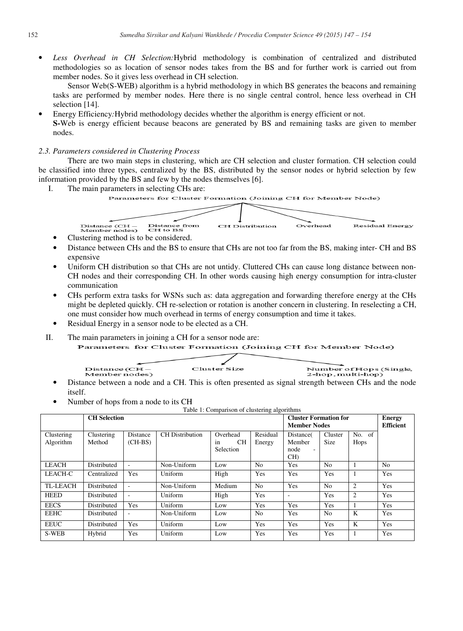$\bullet$  *Less Overhead in CH Selection*: Hybrid methodology is combination of centralized and distributed methodologies so as location of sensor nodes takes from the BS and for further work is carried out from member nodes. So it gives less overhead in CH selection.

Sensor Web(S-WEB) algorithm is a hybrid methodology in which BS generates the beacons and remaining tasks are performed by member nodes. Here there is no single central control, hence less overhead in CH selection [14].

• Energy Efficiency: Hybrid methodology decides whether the algorithm is energy efficient or not. S-Web is energy efficient because beacons are generated by BS and remaining tasks are given to member nodes.

# 2.3. Parameters considered in Clustering Process

There are two main steps in clustering, which are CH selection and cluster formation. CH selection could be classified into three types, centralized by the BS, distributed by the sensor nodes or hybrid selection by few information provided by the BS and few by the nodes themselves [6].

I. The main parameters in selecting CHs are:



- 
- Clustering method is to be considered.<br>• Distance between CHs and the BS to ensure that CHs are not too far from the BS, making inter- CH and BS expensive
- Uniform CH distribution so that CHs are not untidy. Cluttered CHs can cause long distance between non-CH nodes and their corresponding CH. In other words causing high energy consumption for intra-cluster communication
- CHs perform extra tasks for WSNs such as: data aggregation and forwarding therefore energy at the CHs might be depleted quickly. CH re-selection or rotation is another concern in clustering. In reselecting a CH, one must consider how much overhead d in terms of energy consumption and time it takes.
- Residual Energy in a sensor node to be elected as a CH.
- II. The main parameters in joining a CH f for a sensor node are:

Parameters for Cluster Formation (Joining CH for Member Node)



- Distance between a node and a CH. This is often presented as signal strength between CHs and the node itself.
- Number of hops from a node to its CH

|                         | raore 11 companion or enableming argon<br><b>CH</b> Selection |                          |                        |                                          |                    | <b>Cluster Formation for</b><br><b>Member Nodes</b>               | <b>Energy</b><br><b>Efficient</b> |                       |                |
|-------------------------|---------------------------------------------------------------|--------------------------|------------------------|------------------------------------------|--------------------|-------------------------------------------------------------------|-----------------------------------|-----------------------|----------------|
| Clustering<br>Algorithm | Clustering<br>Method                                          | Distance<br>$(CH-BS)$    | <b>CH</b> Distribution | Overhead<br><b>CH</b><br>1n<br>Selection | Residual<br>Energy | Distance(<br>Member<br>node<br>$\overline{\phantom{a}}$<br>$CH$ ) | Cluster<br>Size                   | No. of<br><b>Hops</b> |                |
| <b>LEACH</b>            | Distributed                                                   | $\overline{\phantom{a}}$ | Non-Uniform            | Low                                      | N <sub>o</sub>     | Yes                                                               | N <sub>o</sub>                    |                       | N <sub>o</sub> |
| LEACH-C                 | Centralized                                                   | Yes                      | Uniform                | High                                     | Yes                | Yes                                                               | Yes                               | $\mathbf{1}$          | Yes            |
| <b>TL-LEACH</b>         | <b>Distributed</b>                                            | $\overline{\phantom{a}}$ | Non-Uniform            | Medium                                   | N <sub>0</sub>     | Yes                                                               | N <sub>0</sub>                    | $\overline{2}$        | <b>Yes</b>     |
| <b>HEED</b>             | Distributed                                                   | $\overline{\phantom{a}}$ | Uniform                | High                                     | Yes                | $\overline{\phantom{a}}$                                          | Yes                               | 2                     | Yes            |
| <b>EECS</b>             | Distributed                                                   | Yes                      | Uniform                | Low                                      | Yes                | Yes                                                               | Yes                               |                       | Yes            |
| <b>EEHC</b>             | Distributed                                                   |                          | Non-Uniform            | Low                                      | N <sub>0</sub>     | Yes                                                               | N <sub>0</sub>                    | K                     | Yes            |
| <b>EEUC</b>             | Distributed                                                   | Yes                      | Uniform                | Low                                      | Yes                | Yes                                                               | Yes                               | K                     | Yes            |
| S-WEB                   | Hybrid                                                        | Yes                      | Uniform                | Low                                      | Yes                | Yes                                                               | Yes                               | -1                    | Yes            |

|  | Table 1: Comparison of clustering algorithms |  |
|--|----------------------------------------------|--|
|  |                                              |  |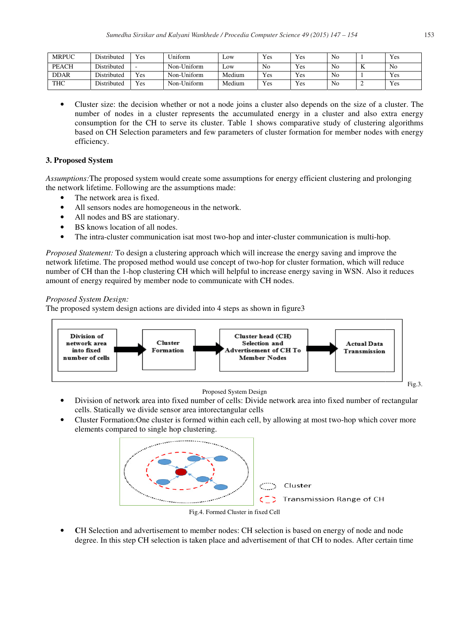| <b>MRPUC</b> | Distributed        | Yes                      | Uniform     | LOW        | Yes | Yes | No |   | Yes |
|--------------|--------------------|--------------------------|-------------|------------|-----|-----|----|---|-----|
| <b>PEACH</b> | <b>Distributed</b> | $\overline{\phantom{0}}$ | Non-Uniform | $\omega$ w | No  | Yes | No | m | No  |
| <b>DDAR</b>  | <b>Distributed</b> | Yes                      | Non-Uniform | Medium     | Yes | Yes | No |   | Yes |
| <b>THC</b>   | Distributed        | Yes                      | Non-Uniform | Medium     | Yes | Yes | No |   | Yes |

• Cluster size: the decision whether or not a node joins a cluster also depends on the size of a cluster. The number of nodes in a cluster represents the accumulated energy in a cluster and also extra energy consumption for the CH to serve its cluster. Table 1 shows comparative study of clustering algorithms based on CH Selection parameters and few parameters of cluster formation for member nodes with energy efficiency.

# **3. Proposed System**

Assumptions: The proposed system would create some assumptions for energy efficient clustering and prolonging the network lifetime. Following are the assumptions made:

- The network area is fixed.
- All sensors nodes are homogeneous in the network.
- All nodes and BS are stationary.
- BS knows location of all nodes.
- The intra-cluster communication isat most two-hop and inter-cluster communication is multi-hop.

Proposed Statement: To design a clustering approach which will increase the energy saving and improve the network lifetime. The proposed method would use concept of two-hop for cluster formation, which will reduce number of CH than the 1-hop clustering CH which will helpful to increase energy saving in WSN. Also it reduces amount of energy required by member node to c communicate with CH nodes.

# *Proposed System Design:*

The proposed system design actions are divided into 4 steps as shown in figure3



Proposed System Design

- Division of network area into fixed number of cells: Divide network area into fixed number of rectangular cells. Statically we divide sensor area intorectangular cells
- Cluster Formation: One cluster is formed within each cell, by allowing at most two-hop which cover more elements compared to single hop clustering.



Fig.4 4. Formed Cluster in fixed Cell

• CH Selection and advertisement to member nodes: CH selection is based on energy of node and node degree. In this step CH selection is taken place and advertisement of that CH to nodes. After certain time